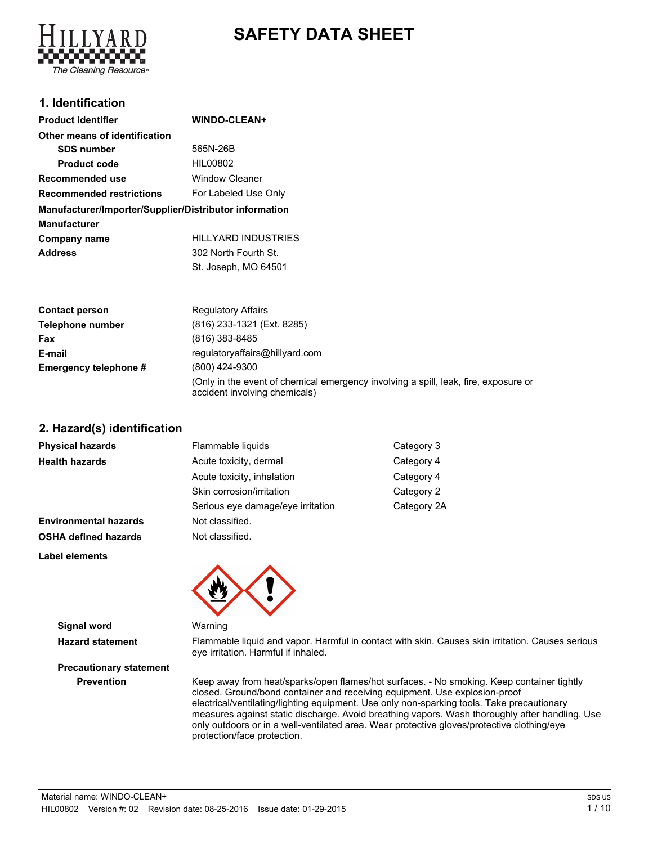# **SAFETY DATA SHEET**



### **1. Identification**

| <b>Product identifier</b>                              | <b>WINDO-CLEAN+</b>        |
|--------------------------------------------------------|----------------------------|
| Other means of identification                          |                            |
| <b>SDS number</b>                                      | 565N-26B                   |
| <b>Product code</b>                                    | HIL00802                   |
| Recommended use                                        | <b>Window Cleaner</b>      |
| <b>Recommended restrictions</b>                        | For Labeled Use Only       |
| Manufacturer/Importer/Supplier/Distributor information |                            |
| <b>Manufacturer</b>                                    |                            |
| Company name                                           | <b>HILLYARD INDUSTRIES</b> |
| <b>Address</b>                                         | 302 North Fourth St.       |
|                                                        | St. Joseph, MO 64501       |

| <b>Contact person</b> | <b>Regulatory Affairs</b>                                                                                            |
|-----------------------|----------------------------------------------------------------------------------------------------------------------|
| Telephone number      | (816) 233-1321 (Ext. 8285)                                                                                           |
| Fax                   | (816) 383-8485                                                                                                       |
| E-mail                | regulatoryaffairs@hillyard.com                                                                                       |
| Emergency telephone # | (800) 424-9300                                                                                                       |
|                       | (Only in the event of chemical emergency involving a spill, leak, fire, exposure or<br>accident involving chemicals) |

**2. Hazard(s) identification**

| Physical hazards             | Flammable liquids                 | Category 3  |
|------------------------------|-----------------------------------|-------------|
| <b>Health hazards</b>        | Acute toxicity, dermal            | Category 4  |
|                              | Acute toxicity, inhalation        | Category 4  |
|                              | Skin corrosion/irritation         | Category 2  |
|                              | Serious eye damage/eye irritation | Category 2A |
| <b>Environmental hazards</b> | Not classified.                   |             |
| <b>OSHA defined hazards</b>  | Not classified.                   |             |
|                              |                                   |             |

**Label elements**

**Signal word** Warning

**Hazard statement** Flammable liquid and vapor. Harmful in contact with skin. Causes skin irritation. Causes serious eye irritation. Harmful if inhaled.

# **Precautionary statement**

**Prevention** Keep away from heat/sparks/open flames/hot surfaces. - No smoking. Keep container tightly closed. Ground/bond container and receiving equipment. Use explosion-proof electrical/ventilating/lighting equipment. Use only non-sparking tools. Take precautionary measures against static discharge. Avoid breathing vapors. Wash thoroughly after handling. Use only outdoors or in a well-ventilated area. Wear protective gloves/protective clothing/eye protection/face protection.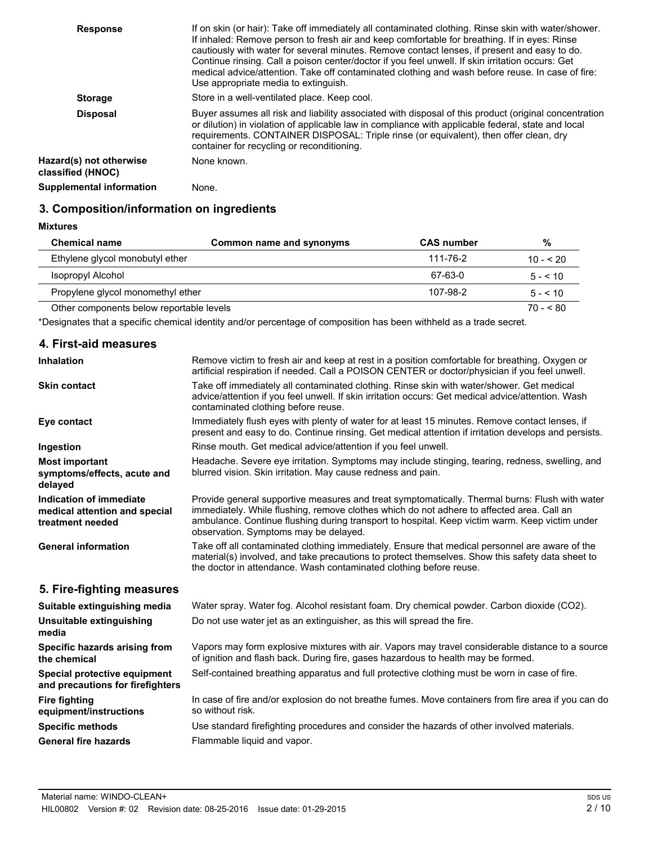| <b>Response</b>                              | If on skin (or hair): Take off immediately all contaminated clothing. Rinse skin with water/shower.<br>If inhaled: Remove person to fresh air and keep comfortable for breathing. If in eyes: Rinse<br>cautiously with water for several minutes. Remove contact lenses, if present and easy to do.<br>Continue rinsing. Call a poison center/doctor if you feel unwell. If skin irritation occurs: Get<br>medical advice/attention. Take off contaminated clothing and wash before reuse. In case of fire:<br>Use appropriate media to extinguish. |
|----------------------------------------------|-----------------------------------------------------------------------------------------------------------------------------------------------------------------------------------------------------------------------------------------------------------------------------------------------------------------------------------------------------------------------------------------------------------------------------------------------------------------------------------------------------------------------------------------------------|
| <b>Storage</b>                               | Store in a well-ventilated place. Keep cool.                                                                                                                                                                                                                                                                                                                                                                                                                                                                                                        |
| <b>Disposal</b>                              | Buyer assumes all risk and liability associated with disposal of this product (original concentration<br>or dilution) in violation of applicable law in compliance with applicable federal, state and local<br>requirements. CONTAINER DISPOSAL: Triple rinse (or equivalent), then offer clean, dry<br>container for recycling or reconditioning.                                                                                                                                                                                                  |
| Hazard(s) not otherwise<br>classified (HNOC) | None known.                                                                                                                                                                                                                                                                                                                                                                                                                                                                                                                                         |
| <b>Supplemental information</b>              | None.                                                                                                                                                                                                                                                                                                                                                                                                                                                                                                                                               |

### **3. Composition/information on ingredients**

#### **Mixtures**

| <b>Chemical name</b>                     | Common name and synonyms | <b>CAS number</b> | %            |
|------------------------------------------|--------------------------|-------------------|--------------|
| Ethylene glycol monobutyl ether          |                          | 111-76-2          | $10 - 520$   |
| Isopropyl Alcohol                        |                          | 67-63-0           | $5 - 5 = 10$ |
| Propylene gives monomethyl ether         |                          | 107-98-2          | $5 - 5 = 10$ |
| Other components below reportable levels |                          |                   | $70 - 80$    |

\*Designates that a specific chemical identity and/or percentage of composition has been withheld as a trade secret.

#### **4. First-aid measures**

| <b>Inhalation</b>                                                            | Remove victim to fresh air and keep at rest in a position comfortable for breathing. Oxygen or<br>artificial respiration if needed. Call a POISON CENTER or doctor/physician if you feel unwell.                                                                                                                                       |
|------------------------------------------------------------------------------|----------------------------------------------------------------------------------------------------------------------------------------------------------------------------------------------------------------------------------------------------------------------------------------------------------------------------------------|
| <b>Skin contact</b>                                                          | Take off immediately all contaminated clothing. Rinse skin with water/shower. Get medical<br>advice/attention if you feel unwell. If skin irritation occurs: Get medical advice/attention. Wash<br>contaminated clothing before reuse.                                                                                                 |
| Eye contact                                                                  | Immediately flush eyes with plenty of water for at least 15 minutes. Remove contact lenses, if<br>present and easy to do. Continue rinsing. Get medical attention if irritation develops and persists.                                                                                                                                 |
| Ingestion                                                                    | Rinse mouth. Get medical advice/attention if you feel unwell.                                                                                                                                                                                                                                                                          |
| <b>Most important</b><br>symptoms/effects, acute and<br>delayed              | Headache. Severe eye irritation. Symptoms may include stinging, tearing, redness, swelling, and<br>blurred vision. Skin irritation. May cause redness and pain.                                                                                                                                                                        |
| Indication of immediate<br>medical attention and special<br>treatment needed | Provide general supportive measures and treat symptomatically. Thermal burns: Flush with water<br>immediately. While flushing, remove clothes which do not adhere to affected area. Call an<br>ambulance. Continue flushing during transport to hospital. Keep victim warm. Keep victim under<br>observation. Symptoms may be delayed. |
| <b>General information</b>                                                   | Take off all contaminated clothing immediately. Ensure that medical personnel are aware of the<br>material(s) involved, and take precautions to protect themselves. Show this safety data sheet to<br>the doctor in attendance. Wash contaminated clothing before reuse.                                                               |
| 5. Fire-fighting measures                                                    |                                                                                                                                                                                                                                                                                                                                        |
| Suitable extinguishing media                                                 | Water spray. Water fog. Alcohol resistant foam. Dry chemical powder. Carbon dioxide (CO2).                                                                                                                                                                                                                                             |
| Unsuitable extinguishing<br>media                                            | Do not use water jet as an extinguisher, as this will spread the fire.                                                                                                                                                                                                                                                                 |
| Specific hazards arising from<br>the chemical                                | Vapors may form explosive mixtures with air. Vapors may travel considerable distance to a source<br>of ignition and flash back. During fire, gases hazardous to health may be formed.                                                                                                                                                  |
| Special protective equipment<br>and precautions for firefighters             | Self-contained breathing apparatus and full protective clothing must be worn in case of fire.                                                                                                                                                                                                                                          |
| <b>Fire fighting</b><br>equipment/instructions                               | In case of fire and/or explosion do not breathe fumes. Move containers from fire area if you can do<br>so without risk.                                                                                                                                                                                                                |
| <b>Specific methods</b>                                                      | Use standard firefighting procedures and consider the hazards of other involved materials.                                                                                                                                                                                                                                             |
| <b>General fire hazards</b>                                                  | Flammable liquid and vapor.                                                                                                                                                                                                                                                                                                            |
|                                                                              |                                                                                                                                                                                                                                                                                                                                        |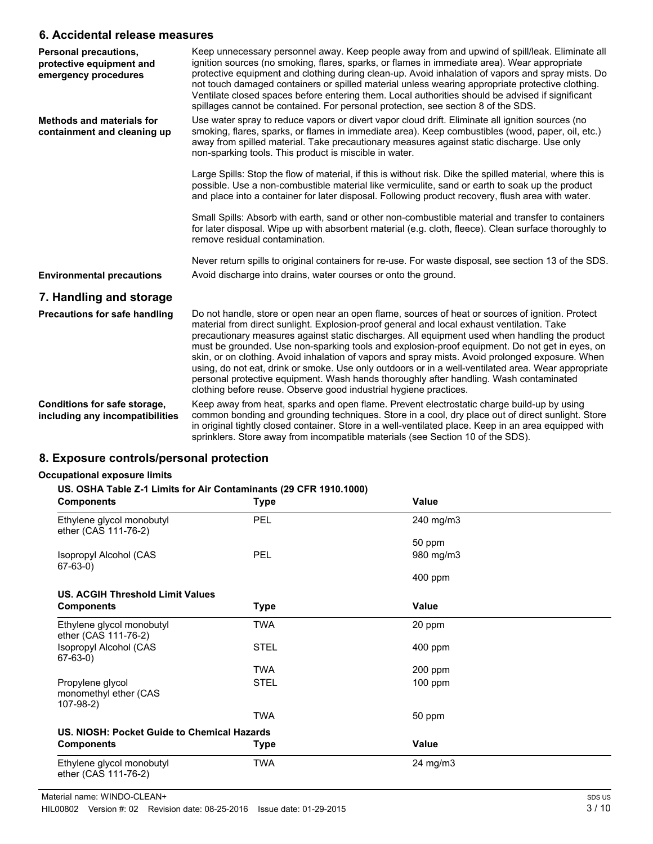### **6. Accidental release measures**

| <b>Personal precautions,</b><br>protective equipment and<br>emergency procedures | Keep unnecessary personnel away. Keep people away from and upwind of spill/leak. Eliminate all<br>ignition sources (no smoking, flares, sparks, or flames in immediate area). Wear appropriate<br>protective equipment and clothing during clean-up. Avoid inhalation of vapors and spray mists. Do<br>not touch damaged containers or spilled material unless wearing appropriate protective clothing.<br>Ventilate closed spaces before entering them. Local authorities should be advised if significant<br>spillages cannot be contained. For personal protection, see section 8 of the SDS.                                                                                                                                                                             |
|----------------------------------------------------------------------------------|------------------------------------------------------------------------------------------------------------------------------------------------------------------------------------------------------------------------------------------------------------------------------------------------------------------------------------------------------------------------------------------------------------------------------------------------------------------------------------------------------------------------------------------------------------------------------------------------------------------------------------------------------------------------------------------------------------------------------------------------------------------------------|
| <b>Methods and materials for</b><br>containment and cleaning up                  | Use water spray to reduce vapors or divert vapor cloud drift. Eliminate all ignition sources (no<br>smoking, flares, sparks, or flames in immediate area). Keep combustibles (wood, paper, oil, etc.)<br>away from spilled material. Take precautionary measures against static discharge. Use only<br>non-sparking tools. This product is miscible in water.                                                                                                                                                                                                                                                                                                                                                                                                                |
|                                                                                  | Large Spills: Stop the flow of material, if this is without risk. Dike the spilled material, where this is<br>possible. Use a non-combustible material like vermiculite, sand or earth to soak up the product<br>and place into a container for later disposal. Following product recovery, flush area with water.                                                                                                                                                                                                                                                                                                                                                                                                                                                           |
|                                                                                  | Small Spills: Absorb with earth, sand or other non-combustible material and transfer to containers<br>for later disposal. Wipe up with absorbent material (e.g. cloth, fleece). Clean surface thoroughly to<br>remove residual contamination.                                                                                                                                                                                                                                                                                                                                                                                                                                                                                                                                |
|                                                                                  | Never return spills to original containers for re-use. For waste disposal, see section 13 of the SDS.                                                                                                                                                                                                                                                                                                                                                                                                                                                                                                                                                                                                                                                                        |
| <b>Environmental precautions</b>                                                 | Avoid discharge into drains, water courses or onto the ground.                                                                                                                                                                                                                                                                                                                                                                                                                                                                                                                                                                                                                                                                                                               |
| 7. Handling and storage                                                          |                                                                                                                                                                                                                                                                                                                                                                                                                                                                                                                                                                                                                                                                                                                                                                              |
| <b>Precautions for safe handling</b>                                             | Do not handle, store or open near an open flame, sources of heat or sources of ignition. Protect<br>material from direct sunlight. Explosion-proof general and local exhaust ventilation. Take<br>precautionary measures against static discharges. All equipment used when handling the product<br>must be grounded. Use non-sparking tools and explosion-proof equipment. Do not get in eyes, on<br>skin, or on clothing. Avoid inhalation of vapors and spray mists. Avoid prolonged exposure. When<br>using, do not eat, drink or smoke. Use only outdoors or in a well-ventilated area. Wear appropriate<br>personal protective equipment. Wash hands thoroughly after handling. Wash contaminated<br>clothing before reuse. Observe good industrial hygiene practices. |
| Conditions for safe storage,<br>including any incompatibilities                  | Keep away from heat, sparks and open flame. Prevent electrostatic charge build-up by using<br>common bonding and grounding techniques. Store in a cool, dry place out of direct sunlight. Store<br>in original tightly closed container. Store in a well-ventilated place. Keep in an area equipped with<br>sprinklers. Store away from incompatible materials (see Section 10 of the SDS).                                                                                                                                                                                                                                                                                                                                                                                  |

#### **8. Exposure controls/personal protection**

#### **Occupational exposure limits**

| <b>Exposure controls/personal protection</b>                                                                                                 |             |              |  |
|----------------------------------------------------------------------------------------------------------------------------------------------|-------------|--------------|--|
| cupational exposure limits<br>US. OSHA Table Z-1 Limits for Air Contaminants (29 CFR 1910.1000)<br>Value<br><b>Components</b><br><b>Type</b> |             |              |  |
| Ethylene glycol monobutyl<br>ether (CAS 111-76-2)                                                                                            | <b>PEL</b>  | 240 mg/m3    |  |
|                                                                                                                                              |             | 50 ppm       |  |
| Isopropyl Alcohol (CAS<br>67-63-0)                                                                                                           | <b>PEL</b>  | 980 mg/m3    |  |
|                                                                                                                                              |             | $400$ ppm    |  |
| <b>US. ACGIH Threshold Limit Values</b>                                                                                                      |             |              |  |
| <b>Components</b>                                                                                                                            | <b>Type</b> | Value        |  |
| Ethylene glycol monobutyl<br>ether (CAS 111-76-2)                                                                                            | TWA         | 20 ppm       |  |
| Isopropyl Alcohol (CAS<br>$67-63-0)$                                                                                                         | <b>STEL</b> | $400$ ppm    |  |
|                                                                                                                                              | <b>TWA</b>  | $200$ ppm    |  |
| Propylene glycol<br>monomethyl ether (CAS<br>107-98-2)                                                                                       | <b>STEL</b> | $100$ ppm    |  |
|                                                                                                                                              | <b>TWA</b>  | 50 ppm       |  |
| US. NIOSH: Pocket Guide to Chemical Hazards                                                                                                  |             |              |  |
| <b>Components</b>                                                                                                                            | <b>Type</b> | <b>Value</b> |  |
|                                                                                                                                              |             |              |  |

Ethylene glycol monobutyl TWA 24 mg/m3 ether (CAS 111-76-2)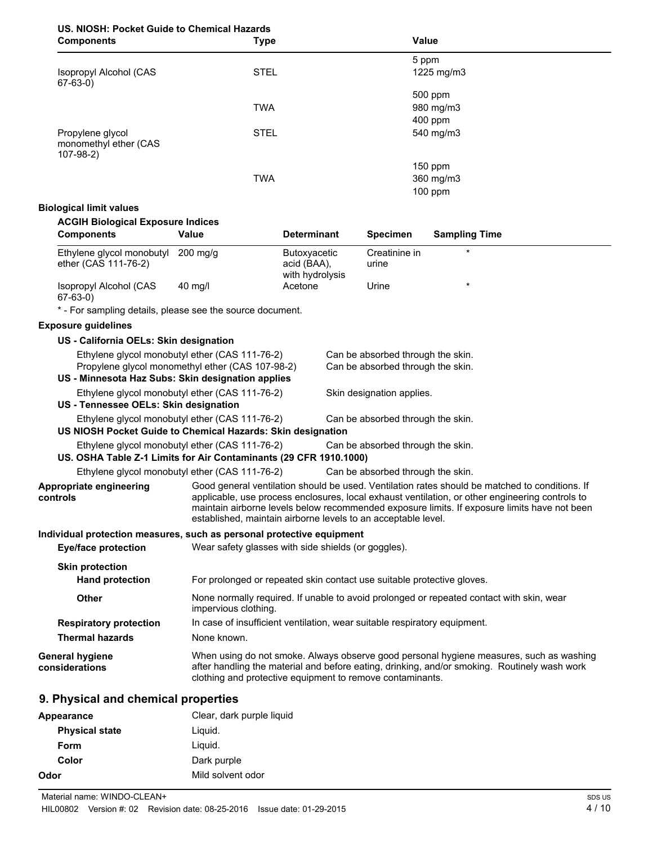## **US. NIOSH: Pocket Guide to Chemical Hazards**

| <b>Components</b>                                      | <b>Type</b> | Value      |  |
|--------------------------------------------------------|-------------|------------|--|
|                                                        |             | 5 ppm      |  |
| Isopropyl Alcohol (CAS<br>67-63-0)                     | <b>STEL</b> | 1225 mg/m3 |  |
|                                                        |             | 500 ppm    |  |
|                                                        | <b>TWA</b>  | 980 mg/m3  |  |
|                                                        |             | $400$ ppm  |  |
| Propylene glycol<br>monomethyl ether (CAS<br>107-98-2) | <b>STEL</b> | 540 mg/m3  |  |
|                                                        |             | $150$ ppm  |  |
|                                                        | <b>TWA</b>  | 360 mg/m3  |  |
|                                                        |             | $100$ ppm  |  |

#### **Biological limit values**

| <b>ACGIH Biological Exposure Indices</b>                              |                                                                                                    |                                                       |                                                                        |                                                                                                                                                                                                                                                                                                   |
|-----------------------------------------------------------------------|----------------------------------------------------------------------------------------------------|-------------------------------------------------------|------------------------------------------------------------------------|---------------------------------------------------------------------------------------------------------------------------------------------------------------------------------------------------------------------------------------------------------------------------------------------------|
| Components                                                            | Value                                                                                              | <b>Determinant</b>                                    | <b>Specimen</b>                                                        | <b>Sampling Time</b>                                                                                                                                                                                                                                                                              |
| Ethylene glycol monobutyl<br>ether (CAS 111-76-2)                     | $200$ mg/g                                                                                         | <b>Butoxyacetic</b><br>acid (BAA),<br>with hydrolysis | Creatinine in<br>urine                                                 |                                                                                                                                                                                                                                                                                                   |
| Isopropyl Alcohol (CAS<br>67-63-0)                                    | 40 mg/l                                                                                            | Acetone                                               | Urine                                                                  |                                                                                                                                                                                                                                                                                                   |
| * - For sampling details, please see the source document.             |                                                                                                    |                                                       |                                                                        |                                                                                                                                                                                                                                                                                                   |
| <b>Exposure guidelines</b>                                            |                                                                                                    |                                                       |                                                                        |                                                                                                                                                                                                                                                                                                   |
| US - California OELs: Skin designation                                |                                                                                                    |                                                       |                                                                        |                                                                                                                                                                                                                                                                                                   |
| US - Minnesota Haz Subs: Skin designation applies                     | Ethylene glycol monobutyl ether (CAS 111-76-2)<br>Propylene glycol monomethyl ether (CAS 107-98-2) |                                                       | Can be absorbed through the skin.<br>Can be absorbed through the skin. |                                                                                                                                                                                                                                                                                                   |
| US - Tennessee OELs: Skin designation                                 | Ethylene glycol monobutyl ether (CAS 111-76-2)                                                     |                                                       | Skin designation applies.                                              |                                                                                                                                                                                                                                                                                                   |
| US NIOSH Pocket Guide to Chemical Hazards: Skin designation           | Ethylene glycol monobutyl ether (CAS 111-76-2)                                                     |                                                       | Can be absorbed through the skin.                                      |                                                                                                                                                                                                                                                                                                   |
| US. OSHA Table Z-1 Limits for Air Contaminants (29 CFR 1910.1000)     | Ethylene glycol monobutyl ether (CAS 111-76-2)                                                     |                                                       | Can be absorbed through the skin.                                      |                                                                                                                                                                                                                                                                                                   |
|                                                                       | Ethylene glycol monobutyl ether (CAS 111-76-2)                                                     |                                                       | Can be absorbed through the skin.                                      |                                                                                                                                                                                                                                                                                                   |
| Appropriate engineering<br>controls                                   | established, maintain airborne levels to an acceptable level.                                      |                                                       |                                                                        | Good general ventilation should be used. Ventilation rates should be matched to conditions. If<br>applicable, use process enclosures, local exhaust ventilation, or other engineering controls to<br>maintain airborne levels below recommended exposure limits. If exposure limits have not been |
| Individual protection measures, such as personal protective equipment |                                                                                                    |                                                       |                                                                        |                                                                                                                                                                                                                                                                                                   |
| <b>Eye/face protection</b>                                            | Wear safety glasses with side shields (or goggles).                                                |                                                       |                                                                        |                                                                                                                                                                                                                                                                                                   |
| <b>Skin protection</b>                                                |                                                                                                    |                                                       |                                                                        |                                                                                                                                                                                                                                                                                                   |
| <b>Hand protection</b>                                                | For prolonged or repeated skin contact use suitable protective gloves.                             |                                                       |                                                                        |                                                                                                                                                                                                                                                                                                   |
| <b>Other</b>                                                          | impervious clothing.                                                                               |                                                       |                                                                        | None normally required. If unable to avoid prolonged or repeated contact with skin, wear                                                                                                                                                                                                          |
| <b>Respiratory protection</b>                                         | In case of insufficient ventilation, wear suitable respiratory equipment.                          |                                                       |                                                                        |                                                                                                                                                                                                                                                                                                   |
| <b>Thermal hazards</b>                                                | None known.                                                                                        |                                                       |                                                                        |                                                                                                                                                                                                                                                                                                   |
| <b>General hygiene</b><br>considerations                              | clothing and protective equipment to remove contaminants.                                          |                                                       |                                                                        | When using do not smoke. Always observe good personal hygiene measures, such as washing<br>after handling the material and before eating, drinking, and/or smoking. Routinely wash work                                                                                                           |
| 9. Physical and chemical properties                                   |                                                                                                    |                                                       |                                                                        |                                                                                                                                                                                                                                                                                                   |
| Appearance                                                            | Clear, dark purple liquid                                                                          |                                                       |                                                                        |                                                                                                                                                                                                                                                                                                   |
| <b>Physical state</b>                                                 | Liquid.                                                                                            |                                                       |                                                                        |                                                                                                                                                                                                                                                                                                   |

**Form** Liquid. **Color** Dark purple **Odor** Mild solvent odor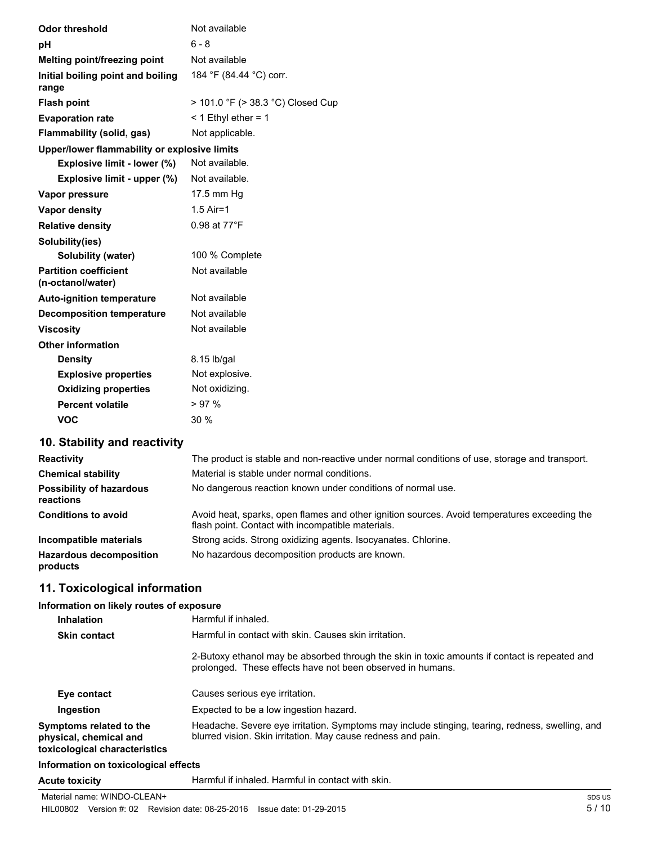| <b>Odor threshold</b>                             | Not available                     |
|---------------------------------------------------|-----------------------------------|
| рH                                                | $6 - 8$                           |
| Melting point/freezing point                      | Not available                     |
| Initial boiling point and boiling<br>range        | 184 °F (84.44 °C) corr.           |
| <b>Flash point</b>                                | > 101.0 °F (> 38.3 °C) Closed Cup |
| <b>Evaporation rate</b>                           | $<$ 1 Ethyl ether = 1             |
| Flammability (solid, gas)                         | Not applicable.                   |
| Upper/lower flammability or explosive limits      |                                   |
| Explosive limit - lower (%)                       | Not available.                    |
| Explosive limit - upper (%)                       | Not available.                    |
| Vapor pressure                                    | 17.5 mm Hg                        |
| Vapor density                                     | $1.5$ Air=1                       |
| <b>Relative density</b>                           | 0.98 at 77°F                      |
| Solubility(ies)                                   |                                   |
| Solubility (water)                                | 100 % Complete                    |
| <b>Partition coefficient</b><br>(n-octanol/water) | Not available                     |
| <b>Auto-ignition temperature</b>                  | Not available                     |
| <b>Decomposition temperature</b>                  | Not available                     |
| <b>Viscosity</b>                                  | Not available                     |
| <b>Other information</b>                          |                                   |
| <b>Density</b>                                    | 8.15 lb/gal                       |
| <b>Explosive properties</b>                       | Not explosive.                    |
| <b>Oxidizing properties</b>                       | Not oxidizing.                    |
| <b>Percent volatile</b>                           | >97%                              |
| <b>VOC</b>                                        | 30 %                              |

### **10. Stability and reactivity**

| <b>Reactivity</b>                            | The product is stable and non-reactive under normal conditions of use, storage and transport.                                                     |
|----------------------------------------------|---------------------------------------------------------------------------------------------------------------------------------------------------|
| <b>Chemical stability</b>                    | Material is stable under normal conditions.                                                                                                       |
| <b>Possibility of hazardous</b><br>reactions | No dangerous reaction known under conditions of normal use.                                                                                       |
| <b>Conditions to avoid</b>                   | Avoid heat, sparks, open flames and other ignition sources. Avoid temperatures exceeding the<br>flash point. Contact with incompatible materials. |
| Incompatible materials                       | Strong acids. Strong oxidizing agents. Isocyanates. Chlorine.                                                                                     |
| <b>Hazardous decomposition</b><br>products   | No hazardous decomposition products are known.                                                                                                    |

### **11. Toxicological information**

#### **Information on likely routes of exposure**

| <b>Inhalation</b>                                                                  | Harmful if inhaled.                                                                                                                                             |
|------------------------------------------------------------------------------------|-----------------------------------------------------------------------------------------------------------------------------------------------------------------|
| <b>Skin contact</b>                                                                | Harmful in contact with skin. Causes skin irritation.                                                                                                           |
|                                                                                    | 2-Butoxy ethanol may be absorbed through the skin in toxic amounts if contact is repeated and<br>prolonged. These effects have not been observed in humans.     |
| Eye contact                                                                        | Causes serious eye irritation.                                                                                                                                  |
| Ingestion                                                                          | Expected to be a low ingestion hazard.                                                                                                                          |
| Symptoms related to the<br>physical, chemical and<br>toxicological characteristics | Headache. Severe eye irritation. Symptoms may include stinging, tearing, redness, swelling, and<br>blurred vision. Skin irritation. May cause redness and pain. |
| Information on toxicological effects                                               |                                                                                                                                                                 |

**Acute toxicity** Harmful if inhaled. Harmful in contact with skin.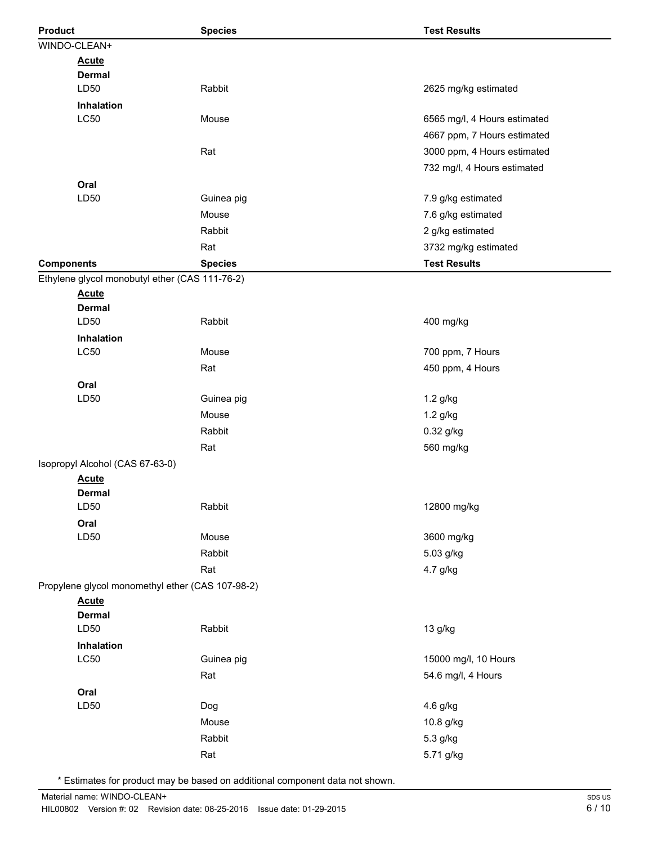| <b>Product</b>    |                                                  | <b>Species</b> | <b>Test Results</b>          |
|-------------------|--------------------------------------------------|----------------|------------------------------|
|                   | WINDO-CLEAN+                                     |                |                              |
|                   | <b>Acute</b>                                     |                |                              |
|                   | <b>Dermal</b>                                    |                |                              |
|                   | LD50                                             | Rabbit         | 2625 mg/kg estimated         |
|                   | Inhalation                                       |                |                              |
|                   | LC50                                             | Mouse          | 6565 mg/l, 4 Hours estimated |
|                   |                                                  |                | 4667 ppm, 7 Hours estimated  |
|                   |                                                  | Rat            | 3000 ppm, 4 Hours estimated  |
|                   |                                                  |                | 732 mg/l, 4 Hours estimated  |
|                   | Oral                                             |                |                              |
|                   | LD50                                             | Guinea pig     | 7.9 g/kg estimated           |
|                   |                                                  | Mouse          | 7.6 g/kg estimated           |
|                   |                                                  | Rabbit         | 2 g/kg estimated             |
|                   |                                                  | Rat            | 3732 mg/kg estimated         |
| <b>Components</b> |                                                  | <b>Species</b> | <b>Test Results</b>          |
|                   | Ethylene glycol monobutyl ether (CAS 111-76-2)   |                |                              |
|                   | <b>Acute</b>                                     |                |                              |
|                   | <b>Dermal</b>                                    |                |                              |
|                   | LD50                                             | Rabbit         | 400 mg/kg                    |
|                   | Inhalation<br><b>LC50</b>                        |                |                              |
|                   |                                                  | Mouse          | 700 ppm, 7 Hours             |
|                   |                                                  | Rat            | 450 ppm, 4 Hours             |
|                   | Oral                                             |                |                              |
|                   | LD50                                             | Guinea pig     | 1.2 g/kg                     |
|                   |                                                  | Mouse          | 1.2 g/kg                     |
|                   |                                                  | Rabbit         | 0.32 g/kg                    |
|                   |                                                  | Rat            | 560 mg/kg                    |
|                   | Isopropyl Alcohol (CAS 67-63-0)                  |                |                              |
|                   | <b>Acute</b>                                     |                |                              |
|                   | <b>Dermal</b><br>LD50                            | Rabbit         | 12800 mg/kg                  |
|                   | Oral                                             |                |                              |
|                   | LD50                                             | Mouse          | 3600 mg/kg                   |
|                   |                                                  | Rabbit         | 5.03 g/kg                    |
|                   |                                                  | Rat            | 4.7 g/kg                     |
|                   | Propylene glycol monomethyl ether (CAS 107-98-2) |                |                              |
|                   | <b>Acute</b>                                     |                |                              |
|                   | <b>Dermal</b>                                    |                |                              |
|                   | LD50                                             | Rabbit         | 13 g/kg                      |
|                   | Inhalation                                       |                |                              |
|                   | LC50                                             | Guinea pig     | 15000 mg/l, 10 Hours         |
|                   |                                                  | Rat            | 54.6 mg/l, 4 Hours           |
|                   | Oral                                             |                |                              |
|                   | LD50                                             | Dog            | 4.6 g/kg                     |
|                   |                                                  | Mouse          | 10.8 g/kg                    |
|                   |                                                  | Rabbit         | 5.3 g/kg                     |
|                   |                                                  | Rat            | 5.71 g/kg                    |
|                   |                                                  |                |                              |

\* Estimates for product may be based on additional component data not shown.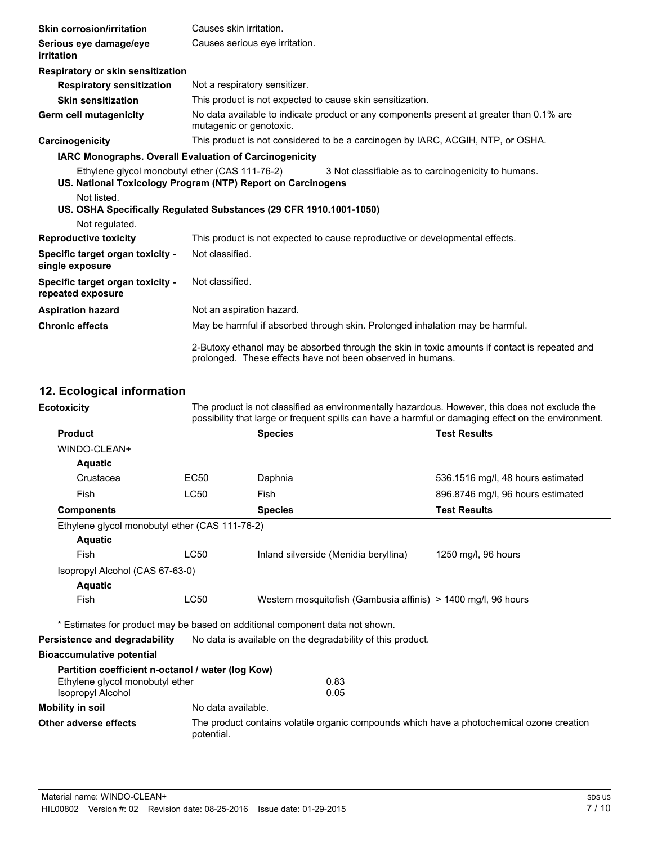| <b>Skin corrosion/irritation</b>                              | Causes skin irritation.                                                                                                                                     |
|---------------------------------------------------------------|-------------------------------------------------------------------------------------------------------------------------------------------------------------|
| Serious eye damage/eye<br>irritation                          | Causes serious eye irritation.                                                                                                                              |
| Respiratory or skin sensitization                             |                                                                                                                                                             |
| <b>Respiratory sensitization</b>                              | Not a respiratory sensitizer.                                                                                                                               |
| <b>Skin sensitization</b>                                     | This product is not expected to cause skin sensitization.                                                                                                   |
| Germ cell mutagenicity                                        | No data available to indicate product or any components present at greater than 0.1% are<br>mutagenic or genotoxic.                                         |
| Carcinogenicity                                               | This product is not considered to be a carcinogen by IARC, ACGIH, NTP, or OSHA.                                                                             |
| <b>IARC Monographs. Overall Evaluation of Carcinogenicity</b> |                                                                                                                                                             |
| Ethylene glycol monobutyl ether (CAS 111-76-2)                | 3 Not classifiable as to carcinogenicity to humans.<br>US. National Toxicology Program (NTP) Report on Carcinogens                                          |
| Not listed.                                                   | US. OSHA Specifically Regulated Substances (29 CFR 1910.1001-1050)                                                                                          |
| Not regulated.                                                |                                                                                                                                                             |
| <b>Reproductive toxicity</b>                                  | This product is not expected to cause reproductive or developmental effects.                                                                                |
| Specific target organ toxicity -<br>single exposure           | Not classified.                                                                                                                                             |
| Specific target organ toxicity -<br>repeated exposure         | Not classified.                                                                                                                                             |
| <b>Aspiration hazard</b>                                      | Not an aspiration hazard.                                                                                                                                   |
| <b>Chronic effects</b>                                        | May be harmful if absorbed through skin. Prolonged inhalation may be harmful.                                                                               |
|                                                               | 2-Butoxy ethanol may be absorbed through the skin in toxic amounts if contact is repeated and<br>prolonged. These effects have not been observed in humans. |

### **12. Ecological information**

| <b>Ecotoxicity</b>                                          | The product is not classified as environmentally hazardous. However, this does not exclude the<br>possibility that large or frequent spills can have a harmful or damaging effect on the environment. |                                                                                           |                                   |
|-------------------------------------------------------------|-------------------------------------------------------------------------------------------------------------------------------------------------------------------------------------------------------|-------------------------------------------------------------------------------------------|-----------------------------------|
| <b>Product</b>                                              |                                                                                                                                                                                                       | <b>Species</b>                                                                            | <b>Test Results</b>               |
| WINDO-CLEAN+                                                |                                                                                                                                                                                                       |                                                                                           |                                   |
| <b>Aquatic</b>                                              |                                                                                                                                                                                                       |                                                                                           |                                   |
| Crustacea                                                   | EC50                                                                                                                                                                                                  | Daphnia                                                                                   | 536.1516 mg/l, 48 hours estimated |
| Fish                                                        | <b>LC50</b>                                                                                                                                                                                           | Fish                                                                                      | 896.8746 mg/l, 96 hours estimated |
| <b>Components</b>                                           |                                                                                                                                                                                                       | <b>Species</b>                                                                            | <b>Test Results</b>               |
| Ethylene glycol monobutyl ether (CAS 111-76-2)              |                                                                                                                                                                                                       |                                                                                           |                                   |
| <b>Aquatic</b>                                              |                                                                                                                                                                                                       |                                                                                           |                                   |
| Fish                                                        | LC50                                                                                                                                                                                                  | Inland silverside (Menidia beryllina)                                                     | 1250 mg/l, 96 hours               |
| Isopropyl Alcohol (CAS 67-63-0)                             |                                                                                                                                                                                                       |                                                                                           |                                   |
| <b>Aquatic</b>                                              |                                                                                                                                                                                                       |                                                                                           |                                   |
| Fish                                                        | <b>LC50</b>                                                                                                                                                                                           | Western mosquitofish (Gambusia affinis) > 1400 mg/l, 96 hours                             |                                   |
|                                                             |                                                                                                                                                                                                       | * Estimates for product may be based on additional component data not shown.              |                                   |
| Persistence and degradability                               |                                                                                                                                                                                                       | No data is available on the degradability of this product.                                |                                   |
| <b>Bioaccumulative potential</b>                            |                                                                                                                                                                                                       |                                                                                           |                                   |
| Partition coefficient n-octanol / water (log Kow)           |                                                                                                                                                                                                       |                                                                                           |                                   |
| Ethylene glycol monobutyl ether<br><b>Isopropyl Alcohol</b> |                                                                                                                                                                                                       | 0.83<br>0.05                                                                              |                                   |
| <b>Mobility in soil</b>                                     | No data available.                                                                                                                                                                                    |                                                                                           |                                   |
| Other adverse effects                                       | potential.                                                                                                                                                                                            | The product contains volatile organic compounds which have a photochemical ozone creation |                                   |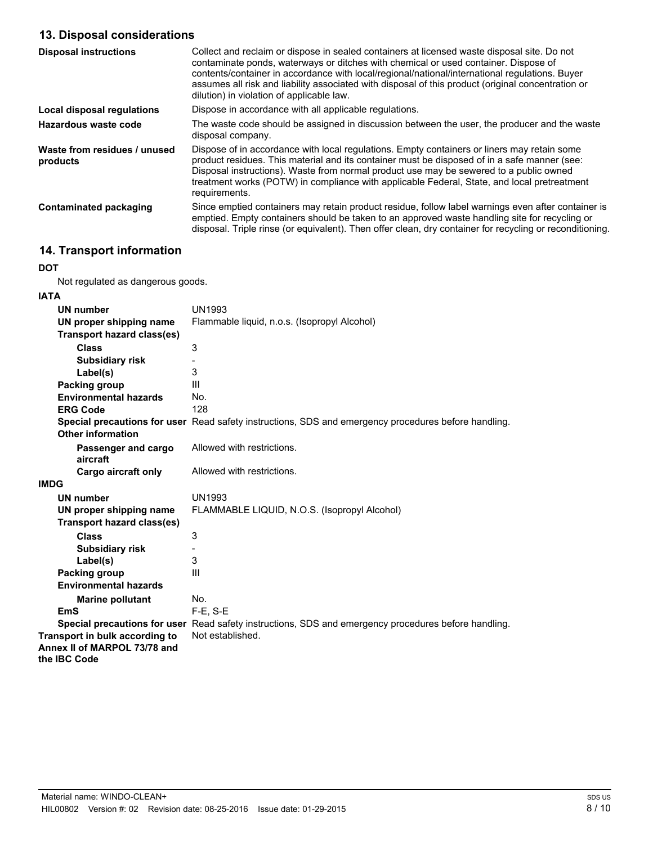### **13. Disposal considerations**

| <b>Disposal instructions</b>             | Collect and reclaim or dispose in sealed containers at licensed waste disposal site. Do not<br>contaminate ponds, waterways or ditches with chemical or used container. Dispose of<br>contents/container in accordance with local/regional/national/international regulations. Buyer<br>assumes all risk and liability associated with disposal of this product (original concentration or<br>dilution) in violation of applicable law. |
|------------------------------------------|-----------------------------------------------------------------------------------------------------------------------------------------------------------------------------------------------------------------------------------------------------------------------------------------------------------------------------------------------------------------------------------------------------------------------------------------|
| Local disposal regulations               | Dispose in accordance with all applicable regulations.                                                                                                                                                                                                                                                                                                                                                                                  |
| Hazardous waste code                     | The waste code should be assigned in discussion between the user, the producer and the waste<br>disposal company.                                                                                                                                                                                                                                                                                                                       |
| Waste from residues / unused<br>products | Dispose of in accordance with local regulations. Empty containers or liners may retain some<br>product residues. This material and its container must be disposed of in a safe manner (see:<br>Disposal instructions). Waste from normal product use may be sewered to a public owned<br>treatment works (POTW) in compliance with applicable Federal, State, and local pretreatment<br>requirements.                                   |
| Contaminated packaging                   | Since emptied containers may retain product residue, follow label warnings even after container is<br>emptied. Empty containers should be taken to an approved waste handling site for recycling or<br>disposal. Triple rinse (or equivalent). Then offer clean, dry container for recycling or reconditioning.                                                                                                                         |

### **14. Transport information**

#### **DOT**

Not regulated as dangerous goods.

#### **IATA**

| <b>UN number</b>                  | <b>UN1993</b>                                                                                        |
|-----------------------------------|------------------------------------------------------------------------------------------------------|
| UN proper shipping name           | Flammable liquid, n.o.s. (Isopropyl Alcohol)                                                         |
| <b>Transport hazard class(es)</b> |                                                                                                      |
| <b>Class</b>                      | 3                                                                                                    |
| <b>Subsidiary risk</b>            |                                                                                                      |
| Label(s)                          | 3                                                                                                    |
| Packing group                     | Ш                                                                                                    |
| <b>Environmental hazards</b>      | No.                                                                                                  |
| <b>ERG Code</b>                   | 128                                                                                                  |
|                                   | Special precautions for user Read safety instructions, SDS and emergency procedures before handling. |
| Other information                 |                                                                                                      |
| Passenger and cargo               | Allowed with restrictions.                                                                           |
| aircraft                          |                                                                                                      |
| Cargo aircraft only               | Allowed with restrictions.                                                                           |
| IMDG                              |                                                                                                      |
| <b>UN number</b>                  | <b>UN1993</b>                                                                                        |
| UN proper shipping name           | FLAMMABLE LIQUID, N.O.S. (Isopropyl Alcohol)                                                         |
| <b>Transport hazard class(es)</b> |                                                                                                      |
| <b>Class</b>                      | 3                                                                                                    |
| <b>Subsidiary risk</b>            |                                                                                                      |
| Label(s)                          | 3                                                                                                    |
| Packing group                     | III                                                                                                  |
| <b>Environmental hazards</b>      |                                                                                                      |
| <b>Marine pollutant</b>           | No.                                                                                                  |
| <b>EmS</b>                        | $F-E$ , S-E                                                                                          |
|                                   | Special precautions for user Read safety instructions, SDS and emergency procedures before handling. |
| Transport in bulk according to    | Not established.                                                                                     |
| Annex II of MARPOL 73/78 and      |                                                                                                      |
| the IBC Code                      |                                                                                                      |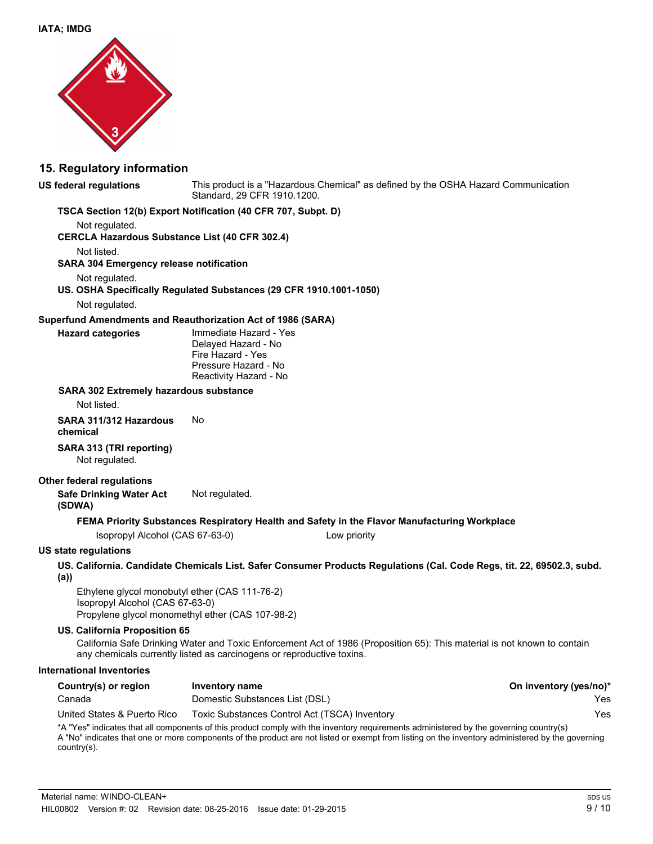

#### **15. Regulatory information**

#### **US federal regulations**

This product is a "Hazardous Chemical" as defined by the OSHA Hazard Communication Standard, 29 CFR 1910.1200.

#### **TSCA Section 12(b) Export Notification (40 CFR 707, Subpt. D)**

Not regulated.

**CERCLA Hazardous Substance List (40 CFR 302.4)**

Not listed.

#### **SARA 304 Emergency release notification**

Not regulated.

#### **US. OSHA Specifically Regulated Substances (29 CFR 1910.1001-1050)**

Not regulated.

**Hazard categories**

#### **Superfund Amendments and Reauthorization Act of 1986 (SARA)**

Immediate Hazard - Yes Delayed Hazard - No Fire Hazard - Yes Pressure Hazard - No Reactivity Hazard - No

#### **SARA 302 Extremely hazardous substance**

Not listed.

**SARA 311/312 Hazardous** No **chemical**

#### **SARA 313 (TRI reporting)** Not regulated.

#### **Other federal regulations**

**Safe Drinking Water Act** Not regulated. **(SDWA)**

#### **FEMA Priority Substances Respiratory Health and Safety in the Flavor Manufacturing Workplace**

Isopropyl Alcohol (CAS 67-63-0) Low priority

#### **US state regulations**

**US. California. Candidate Chemicals List. Safer Consumer Products Regulations (Cal. Code Regs, tit. 22, 69502.3, subd. (a))**

Ethylene glycol monobutyl ether (CAS 111-76-2) Isopropyl Alcohol (CAS 67-63-0) Propylene glycol monomethyl ether (CAS 107-98-2)

#### **US. California Proposition 65**

California Safe Drinking Water and Toxic Enforcement Act of 1986 (Proposition 65): This material is not known to contain any chemicals currently listed as carcinogens or reproductive toxins.

#### **International Inventories**

| Country(s) or region        | Inventory name                                                                                                                                                                                                                                                                             | On inventory (yes/no)* |
|-----------------------------|--------------------------------------------------------------------------------------------------------------------------------------------------------------------------------------------------------------------------------------------------------------------------------------------|------------------------|
| Canada                      | Domestic Substances List (DSL)                                                                                                                                                                                                                                                             | Yes                    |
| United States & Puerto Rico | Toxic Substances Control Act (TSCA) Inventory                                                                                                                                                                                                                                              | Yes                    |
|                             | *A "Yes" indicates that all components of this product comply with the inventory requirements administered by the governing country(s)<br>A "No" indicates that are as mess components of the product are not lighed or exampt from lighing on the investory administered by the governing |                        |

A "No" indicates that one or more components of the product are not listed or exempt from listing on the inventory administered by the governing country(s).